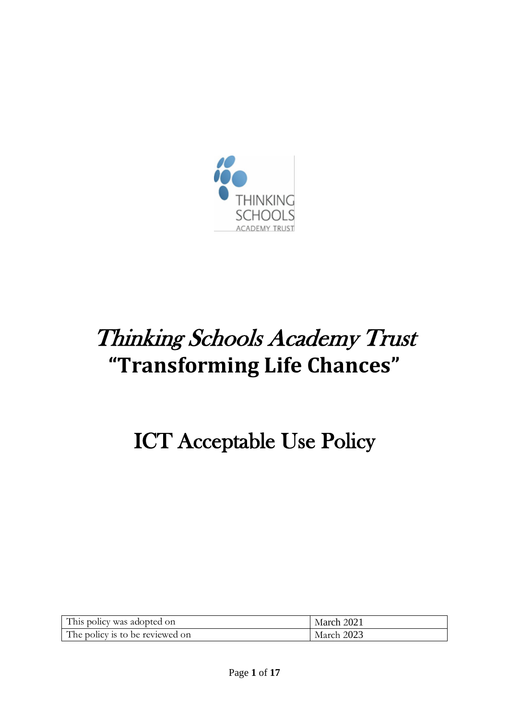

# Thinking Schools Academy Trust **"Transforming Life Chances"**

# ICT Acceptable Use Policy

| This policy was adopted on      | March 2021 |
|---------------------------------|------------|
| The policy is to be reviewed on | March 2023 |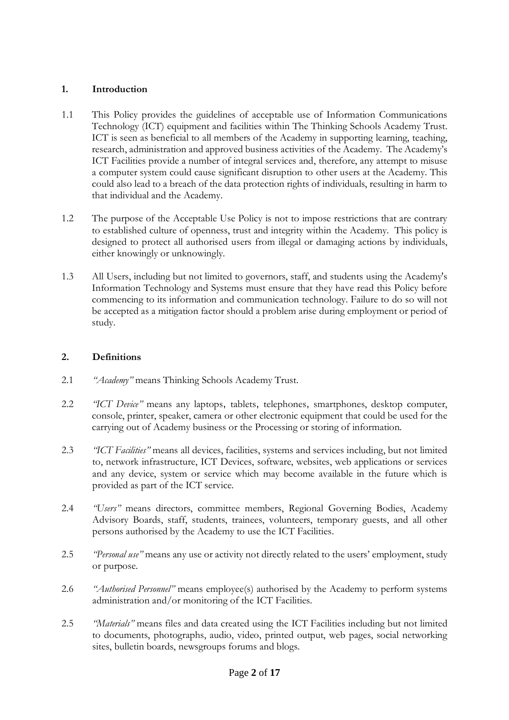## **1. Introduction**

- 1.1 This Policy provides the guidelines of acceptable use of Information Communications Technology (ICT) equipment and facilities within The Thinking Schools Academy Trust. ICT is seen as beneficial to all members of the Academy in supporting learning, teaching, research, administration and approved business activities of the Academy. The Academy's ICT Facilities provide a number of integral services and, therefore, any attempt to misuse a computer system could cause significant disruption to other users at the Academy. This could also lead to a breach of the data protection rights of individuals, resulting in harm to that individual and the Academy.
- 1.2 The purpose of the Acceptable Use Policy is not to impose restrictions that are contrary to established culture of openness, trust and integrity within the Academy. This policy is designed to protect all authorised users from illegal or damaging actions by individuals, either knowingly or unknowingly.
- 1.3 All Users, including but not limited to governors, staff, and students using the Academy's Information Technology and Systems must ensure that they have read this Policy before commencing to its information and communication technology. Failure to do so will not be accepted as a mitigation factor should a problem arise during employment or period of study.

## **2. Definitions**

- 2.1 *"Academy"* means Thinking Schools Academy Trust.
- 2.2 *"ICT Device"* means any laptops, tablets, telephones, smartphones, desktop computer, console, printer, speaker, camera or other electronic equipment that could be used for the carrying out of Academy business or the Processing or storing of information.
- 2.3 *"ICT Facilities"* means all devices, facilities, systems and services including, but not limited to, network infrastructure, ICT Devices, software, websites, web applications or services and any device, system or service which may become available in the future which is provided as part of the ICT service.
- 2.4 *"Users"* means directors, committee members, Regional Governing Bodies, Academy Advisory Boards, staff, students, trainees, volunteers, temporary guests, and all other persons authorised by the Academy to use the ICT Facilities.
- 2.5 *"Personal use"* means any use or activity not directly related to the users' employment, study or purpose.
- 2.6 *"Authorised Personnel"* means employee(s) authorised by the Academy to perform systems administration and/or monitoring of the ICT Facilities.
- 2.5 *"Materials"* means files and data created using the ICT Facilities including but not limited to documents, photographs, audio, video, printed output, web pages, social networking sites, bulletin boards, newsgroups forums and blogs.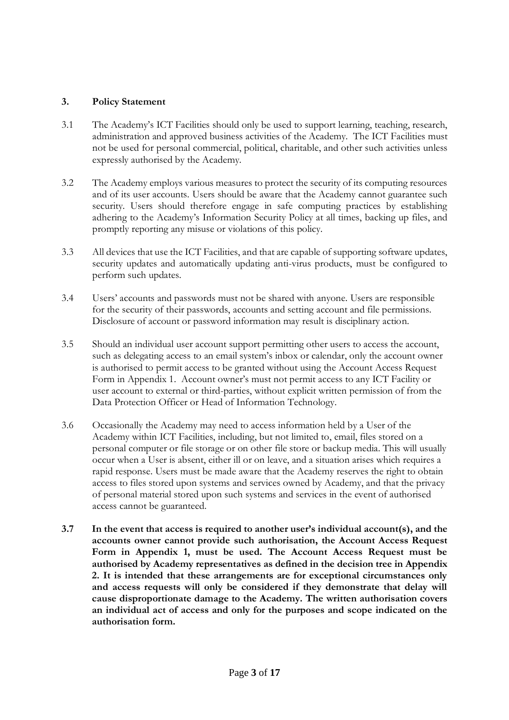#### **3. Policy Statement**

- 3.1 The Academy's ICT Facilities should only be used to support learning, teaching, research, administration and approved business activities of the Academy. The ICT Facilities must not be used for personal commercial, political, charitable, and other such activities unless expressly authorised by the Academy.
- 3.2 The Academy employs various measures to protect the security of its computing resources and of its user accounts. Users should be aware that the Academy cannot guarantee such security. Users should therefore engage in safe computing practices by establishing adhering to the Academy's Information Security Policy at all times, backing up files, and promptly reporting any misuse or violations of this policy.
- 3.3 All devices that use the ICT Facilities, and that are capable of supporting software updates, security updates and automatically updating anti-virus products, must be configured to perform such updates.
- 3.4 Users' accounts and passwords must not be shared with anyone. Users are responsible for the security of their passwords, accounts and setting account and file permissions. Disclosure of account or password information may result is disciplinary action.
- 3.5 Should an individual user account support permitting other users to access the account, such as delegating access to an email system's inbox or calendar, only the account owner is authorised to permit access to be granted without using the Account Access Request Form in Appendix 1. Account owner's must not permit access to any ICT Facility or user account to external or third-parties, without explicit written permission of from the Data Protection Officer or Head of Information Technology.
- 3.6 Occasionally the Academy may need to access information held by a User of the Academy within ICT Facilities, including, but not limited to, email, files stored on a personal computer or file storage or on other file store or backup media. This will usually occur when a User is absent, either ill or on leave, and a situation arises which requires a rapid response. Users must be made aware that the Academy reserves the right to obtain access to files stored upon systems and services owned by Academy, and that the privacy of personal material stored upon such systems and services in the event of authorised access cannot be guaranteed.
- **3.7 In the event that access is required to another user's individual account(s), and the accounts owner cannot provide such authorisation, the Account Access Request Form in Appendix 1, must be used. The Account Access Request must be authorised by Academy representatives as defined in the decision tree in Appendix 2. It is intended that these arrangements are for exceptional circumstances only and access requests will only be considered if they demonstrate that delay will cause disproportionate damage to the Academy. The written authorisation covers an individual act of access and only for the purposes and scope indicated on the authorisation form.**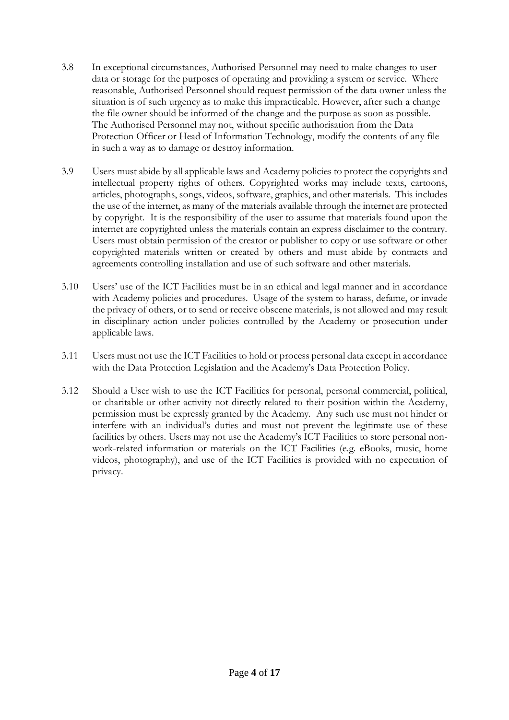- 3.8 In exceptional circumstances, Authorised Personnel may need to make changes to user data or storage for the purposes of operating and providing a system or service. Where reasonable, Authorised Personnel should request permission of the data owner unless the situation is of such urgency as to make this impracticable. However, after such a change the file owner should be informed of the change and the purpose as soon as possible. The Authorised Personnel may not, without specific authorisation from the Data Protection Officer or Head of Information Technology, modify the contents of any file in such a way as to damage or destroy information.
- 3.9 Users must abide by all applicable laws and Academy policies to protect the copyrights and intellectual property rights of others. Copyrighted works may include texts, cartoons, articles, photographs, songs, videos, software, graphics, and other materials. This includes the use of the internet, as many of the materials available through the internet are protected by copyright. It is the responsibility of the user to assume that materials found upon the internet are copyrighted unless the materials contain an express disclaimer to the contrary. Users must obtain permission of the creator or publisher to copy or use software or other copyrighted materials written or created by others and must abide by contracts and agreements controlling installation and use of such software and other materials.
- 3.10 Users' use of the ICT Facilities must be in an ethical and legal manner and in accordance with Academy policies and procedures. Usage of the system to harass, defame, or invade the privacy of others, or to send or receive obscene materials, is not allowed and may result in disciplinary action under policies controlled by the Academy or prosecution under applicable laws.
- 3.11 Users must not use the ICT Facilities to hold or process personal data except in accordance with the Data Protection Legislation and the Academy's Data Protection Policy.
- 3.12 Should a User wish to use the ICT Facilities for personal, personal commercial, political, or charitable or other activity not directly related to their position within the Academy, permission must be expressly granted by the Academy. Any such use must not hinder or interfere with an individual's duties and must not prevent the legitimate use of these facilities by others. Users may not use the Academy's ICT Facilities to store personal nonwork-related information or materials on the ICT Facilities (e.g. eBooks, music, home videos, photography), and use of the ICT Facilities is provided with no expectation of privacy.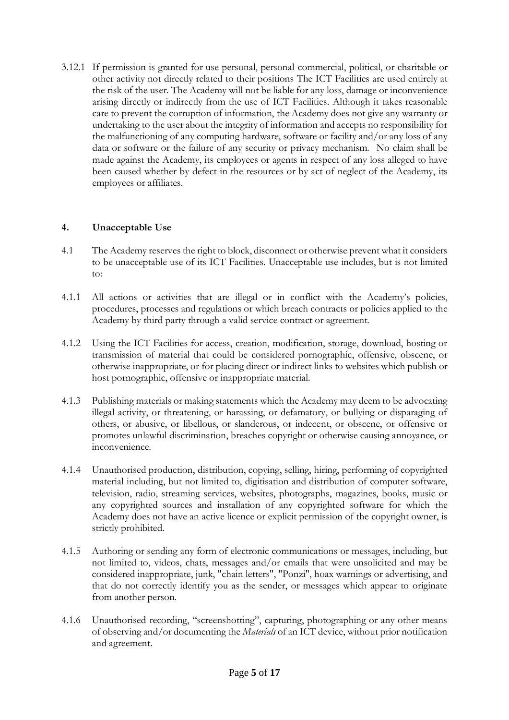3.12.1 If permission is granted for use personal, personal commercial, political, or charitable or other activity not directly related to their positions The ICT Facilities are used entirely at the risk of the user. The Academy will not be liable for any loss, damage or inconvenience arising directly or indirectly from the use of ICT Facilities. Although it takes reasonable care to prevent the corruption of information, the Academy does not give any warranty or undertaking to the user about the integrity of information and accepts no responsibility for the malfunctioning of any computing hardware, software or facility and/or any loss of any data or software or the failure of any security or privacy mechanism. No claim shall be made against the Academy, its employees or agents in respect of any loss alleged to have been caused whether by defect in the resources or by act of neglect of the Academy, its employees or affiliates.

#### **4. Unacceptable Use**

- 4.1 The Academy reserves the right to block, disconnect or otherwise prevent what it considers to be unacceptable use of its ICT Facilities. Unacceptable use includes, but is not limited to:
- 4.1.1 All actions or activities that are illegal or in conflict with the Academy's policies, procedures, processes and regulations or which breach contracts or policies applied to the Academy by third party through a valid service contract or agreement.
- 4.1.2 Using the ICT Facilities for access, creation, modification, storage, download, hosting or transmission of material that could be considered pornographic, offensive, obscene, or otherwise inappropriate, or for placing direct or indirect links to websites which publish or host pornographic, offensive or inappropriate material.
- 4.1.3 Publishing materials or making statements which the Academy may deem to be advocating illegal activity, or threatening, or harassing, or defamatory, or bullying or disparaging of others, or abusive, or libellous, or slanderous, or indecent, or obscene, or offensive or promotes unlawful discrimination, breaches copyright or otherwise causing annoyance, or inconvenience.
- 4.1.4 Unauthorised production, distribution, copying, selling, hiring, performing of copyrighted material including, but not limited to, digitisation and distribution of computer software, television, radio, streaming services, websites, photographs, magazines, books, music or any copyrighted sources and installation of any copyrighted software for which the Academy does not have an active licence or explicit permission of the copyright owner, is strictly prohibited.
- 4.1.5 Authoring or sending any form of electronic communications or messages, including, but not limited to, videos, chats, messages and/or emails that were unsolicited and may be considered inappropriate, junk, "chain letters", "Ponzi", hoax warnings or advertising, and that do not correctly identify you as the sender, or messages which appear to originate from another person.
- 4.1.6 Unauthorised recording, "screenshotting", capturing, photographing or any other means of observing and/or documenting the *Materials* of an ICT device, without prior notification and agreement.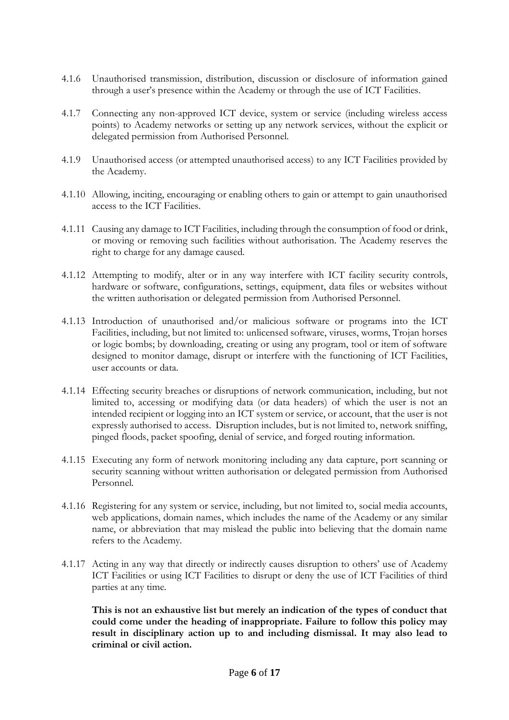- 4.1.6 Unauthorised transmission, distribution, discussion or disclosure of information gained through a user's presence within the Academy or through the use of ICT Facilities.
- 4.1.7 Connecting any non-approved ICT device, system or service (including wireless access points) to Academy networks or setting up any network services, without the explicit or delegated permission from Authorised Personnel.
- 4.1.9 Unauthorised access (or attempted unauthorised access) to any ICT Facilities provided by the Academy.
- 4.1.10 Allowing, inciting, encouraging or enabling others to gain or attempt to gain unauthorised access to the ICT Facilities.
- 4.1.11 Causing any damage to ICT Facilities, including through the consumption of food or drink, or moving or removing such facilities without authorisation. The Academy reserves the right to charge for any damage caused.
- 4.1.12 Attempting to modify, alter or in any way interfere with ICT facility security controls, hardware or software, configurations, settings, equipment, data files or websites without the written authorisation or delegated permission from Authorised Personnel.
- 4.1.13 Introduction of unauthorised and/or malicious software or programs into the ICT Facilities, including, but not limited to: unlicensed software, viruses, worms, Trojan horses or logic bombs; by downloading, creating or using any program, tool or item of software designed to monitor damage, disrupt or interfere with the functioning of ICT Facilities, user accounts or data.
- 4.1.14 Effecting security breaches or disruptions of network communication, including, but not limited to, accessing or modifying data (or data headers) of which the user is not an intended recipient or logging into an ICT system or service, or account, that the user is not expressly authorised to access. Disruption includes, but is not limited to, network sniffing, pinged floods, packet spoofing, denial of service, and forged routing information.
- 4.1.15 Executing any form of network monitoring including any data capture, port scanning or security scanning without written authorisation or delegated permission from Authorised Personnel.
- 4.1.16 Registering for any system or service, including, but not limited to, social media accounts, web applications, domain names, which includes the name of the Academy or any similar name, or abbreviation that may mislead the public into believing that the domain name refers to the Academy.
- 4.1.17 Acting in any way that directly or indirectly causes disruption to others' use of Academy ICT Facilities or using ICT Facilities to disrupt or deny the use of ICT Facilities of third parties at any time.

**This is not an exhaustive list but merely an indication of the types of conduct that could come under the heading of inappropriate. Failure to follow this policy may result in disciplinary action up to and including dismissal. It may also lead to criminal or civil action.**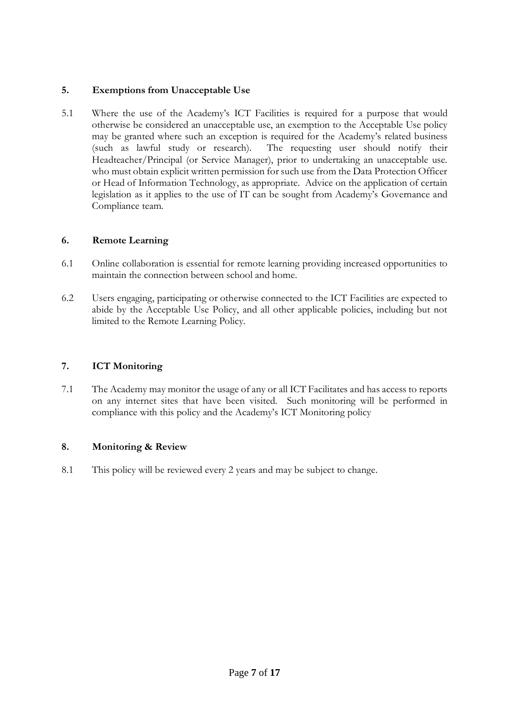## **5. Exemptions from Unacceptable Use**

5.1 Where the use of the Academy's ICT Facilities is required for a purpose that would otherwise be considered an unacceptable use, an exemption to the Acceptable Use policy may be granted where such an exception is required for the Academy's related business (such as lawful study or research). The requesting user should notify their Headteacher/Principal (or Service Manager), prior to undertaking an unacceptable use. who must obtain explicit written permission for such use from the Data Protection Officer or Head of Information Technology, as appropriate. Advice on the application of certain legislation as it applies to the use of IT can be sought from Academy's Governance and Compliance team.

#### **6. Remote Learning**

- 6.1 Online collaboration is essential for remote learning providing increased opportunities to maintain the connection between school and home.
- 6.2 Users engaging, participating or otherwise connected to the ICT Facilities are expected to abide by the Acceptable Use Policy, and all other applicable policies, including but not limited to the Remote Learning Policy.

## **7. ICT Monitoring**

7.1 The Academy may monitor the usage of any or all ICT Facilitates and has access to reports on any internet sites that have been visited. Such monitoring will be performed in compliance with this policy and the Academy's ICT Monitoring policy

#### **8. Monitoring & Review**

8.1 This policy will be reviewed every 2 years and may be subject to change.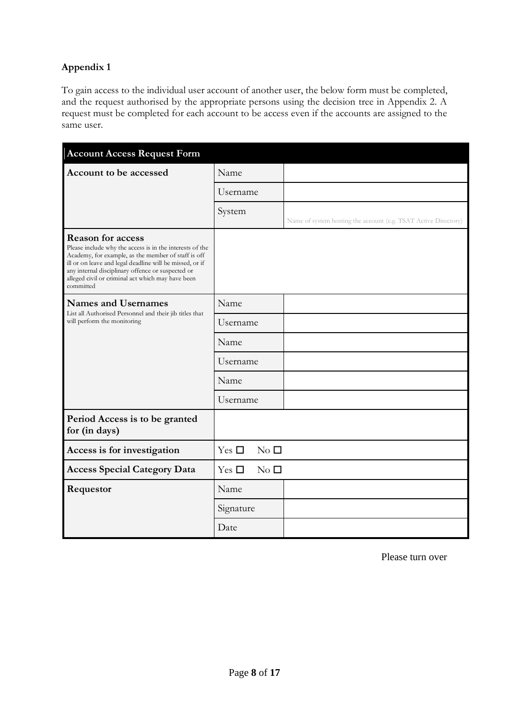# **Appendix 1**

To gain access to the individual user account of another user, the below form must be completed, and the request authorised by the appropriate persons using the decision tree in Appendix 2. A request must be completed for each account to be access even if the accounts are assigned to the same user.

| <b>Account Access Request Form</b>                                                                                                                                                                                                                                                                                             |                               |                                                                 |
|--------------------------------------------------------------------------------------------------------------------------------------------------------------------------------------------------------------------------------------------------------------------------------------------------------------------------------|-------------------------------|-----------------------------------------------------------------|
| Account to be accessed                                                                                                                                                                                                                                                                                                         | Name                          |                                                                 |
|                                                                                                                                                                                                                                                                                                                                | Username                      |                                                                 |
|                                                                                                                                                                                                                                                                                                                                | System                        | Name of system hosting the account (e.g. TSAT Active Directory) |
| <b>Reason for access</b><br>Please include why the access is in the interests of the<br>Academy, for example, as the member of staff is off<br>ill or on leave and legal deadline will be missed, or if<br>any internal disciplinary offence or suspected or<br>alleged civil or criminal act which may have been<br>committed |                               |                                                                 |
| <b>Names and Usernames</b><br>List all Authorised Personnel and their jib titles that<br>will perform the monitoring                                                                                                                                                                                                           | Name                          |                                                                 |
|                                                                                                                                                                                                                                                                                                                                | Username                      |                                                                 |
|                                                                                                                                                                                                                                                                                                                                | Name                          |                                                                 |
|                                                                                                                                                                                                                                                                                                                                | Username                      |                                                                 |
|                                                                                                                                                                                                                                                                                                                                | Name                          |                                                                 |
|                                                                                                                                                                                                                                                                                                                                | Username                      |                                                                 |
| Period Access is to be granted<br>for (in days)                                                                                                                                                                                                                                                                                |                               |                                                                 |
| Access is for investigation                                                                                                                                                                                                                                                                                                    | No $\square$<br>Yes $\square$ |                                                                 |
| <b>Access Special Category Data</b>                                                                                                                                                                                                                                                                                            | No <sub>l</sub><br>Yes $\Box$ |                                                                 |
| Requestor                                                                                                                                                                                                                                                                                                                      | Name                          |                                                                 |
|                                                                                                                                                                                                                                                                                                                                | Signature                     |                                                                 |
|                                                                                                                                                                                                                                                                                                                                | Date                          |                                                                 |

Please turn over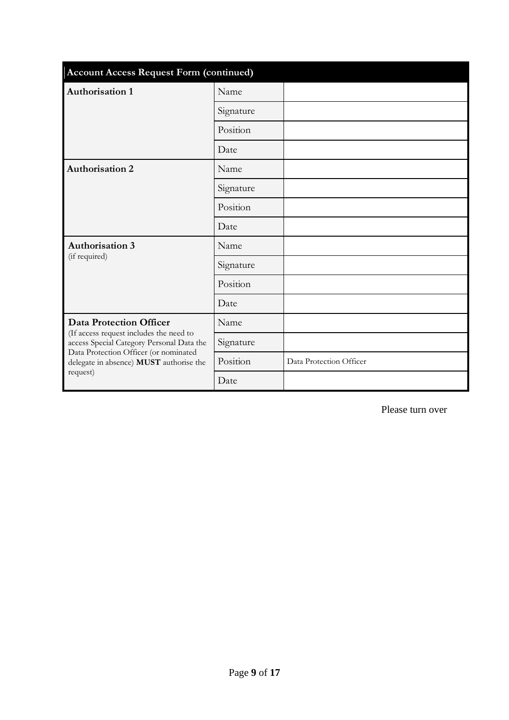| <b>Account Access Request Form (continued)</b>                                                                                                                                                                         |           |                         |
|------------------------------------------------------------------------------------------------------------------------------------------------------------------------------------------------------------------------|-----------|-------------------------|
| <b>Authorisation 1</b>                                                                                                                                                                                                 | Name      |                         |
|                                                                                                                                                                                                                        | Signature |                         |
|                                                                                                                                                                                                                        | Position  |                         |
|                                                                                                                                                                                                                        | Date      |                         |
| <b>Authorisation 2</b>                                                                                                                                                                                                 | Name      |                         |
|                                                                                                                                                                                                                        | Signature |                         |
|                                                                                                                                                                                                                        | Position  |                         |
|                                                                                                                                                                                                                        | Date      |                         |
| <b>Authorisation 3</b><br>(if required)                                                                                                                                                                                | Name      |                         |
|                                                                                                                                                                                                                        | Signature |                         |
|                                                                                                                                                                                                                        | Position  |                         |
|                                                                                                                                                                                                                        | Date      |                         |
| <b>Data Protection Officer</b><br>(If access request includes the need to<br>access Special Category Personal Data the<br>Data Protection Officer (or nominated<br>delegate in absence) MUST authorise the<br>request) | Name      |                         |
|                                                                                                                                                                                                                        | Signature |                         |
|                                                                                                                                                                                                                        | Position  | Data Protection Officer |
|                                                                                                                                                                                                                        | Date      |                         |

Please turn over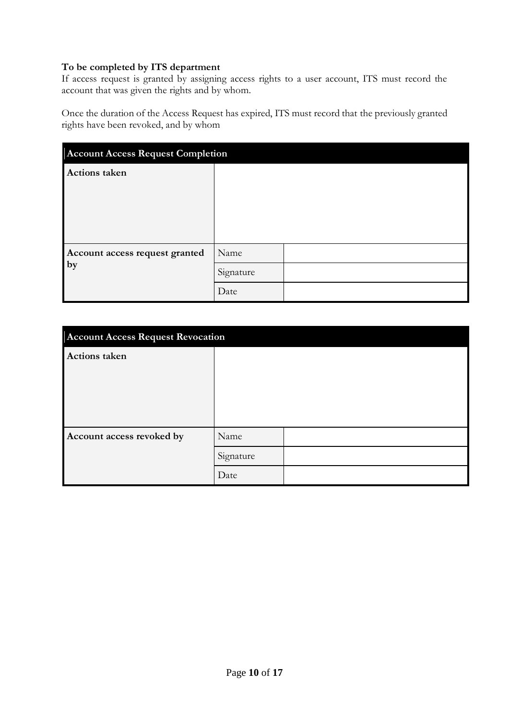#### **To be completed by ITS department**

If access request is granted by assigning access rights to a user account, ITS must record the account that was given the rights and by whom.

Once the duration of the Access Request has expired, ITS must record that the previously granted rights have been revoked, and by whom

| <b>Account Access Request Completion</b> |           |  |
|------------------------------------------|-----------|--|
| <b>Actions taken</b>                     |           |  |
|                                          |           |  |
| Account access request granted<br>by     | Name      |  |
|                                          | Signature |  |
|                                          | Date      |  |

| <b>Account Access Request Revocation</b> |           |  |
|------------------------------------------|-----------|--|
| <b>Actions taken</b>                     |           |  |
|                                          |           |  |
|                                          |           |  |
|                                          |           |  |
|                                          |           |  |
| Account access revoked by                | Name      |  |
|                                          | Signature |  |
|                                          | Date      |  |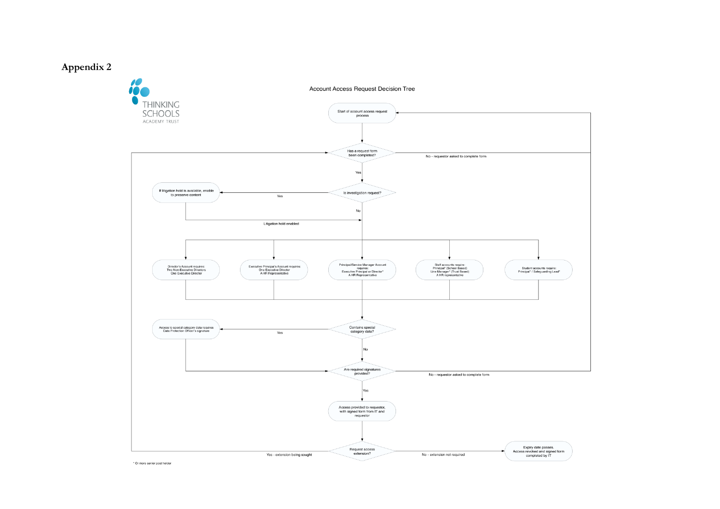# **Appendix 2**



\* Or more senior post holder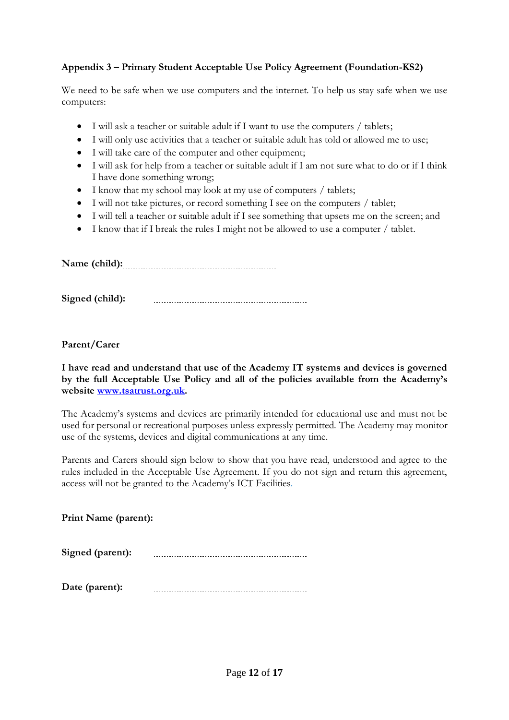## **Appendix 3 – Primary Student Acceptable Use Policy Agreement (Foundation-KS2)**

We need to be safe when we use computers and the internet. To help us stay safe when we use computers:

- I will ask a teacher or suitable adult if I want to use the computers / tablets;
- I will only use activities that a teacher or suitable adult has told or allowed me to use;
- I will take care of the computer and other equipment;
- I will ask for help from a teacher or suitable adult if I am not sure what to do or if I think I have done something wrong;
- I know that my school may look at my use of computers / tablets;
- I will not take pictures, or record something I see on the computers  $\ell$  tablet;
- I will tell a teacher or suitable adult if I see something that upsets me on the screen; and
- I know that if I break the rules I might not be allowed to use a computer / tablet.

**Name (child):**

**Signed (child):** 

**Parent/Carer** 

**I have read and understand that use of the Academy IT systems and devices is governed by the full Acceptable Use Policy and all of the policies available from the Academy's website [www.tsatrust.org.uk.](http://www.tsatrust.org.uk/)**

The Academy's systems and devices are primarily intended for educational use and must not be used for personal or recreational purposes unless expressly permitted. The Academy may monitor use of the systems, devices and digital communications at any time.

Parents and Carers should sign below to show that you have read, understood and agree to the rules included in the Acceptable Use Agreement. If you do not sign and return this agreement, access will not be granted to the Academy's ICT Facilities.

**Print Name (parent):**

**Signed (parent):** 

**Date (parent):**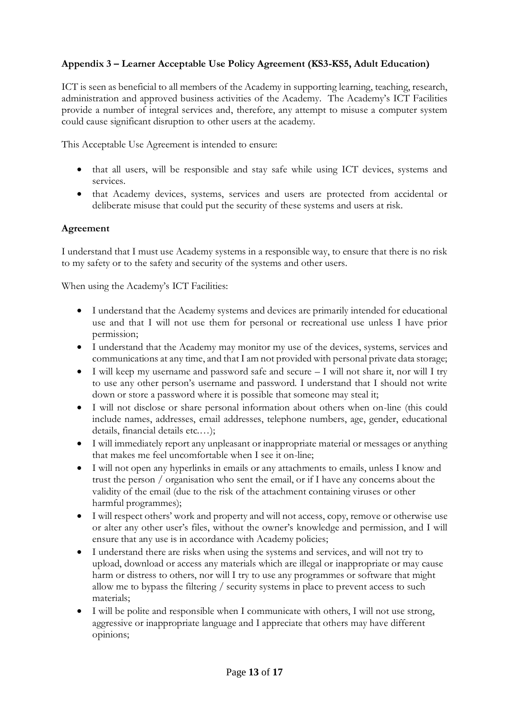# **Appendix 3 – Learner Acceptable Use Policy Agreement (KS3-KS5, Adult Education)**

ICT is seen as beneficial to all members of the Academy in supporting learning, teaching, research, administration and approved business activities of the Academy. The Academy's ICT Facilities provide a number of integral services and, therefore, any attempt to misuse a computer system could cause significant disruption to other users at the academy.

This Acceptable Use Agreement is intended to ensure:

- that all users, will be responsible and stay safe while using ICT devices, systems and services.
- that Academy devices, systems, services and users are protected from accidental or deliberate misuse that could put the security of these systems and users at risk.

## **Agreement**

I understand that I must use Academy systems in a responsible way, to ensure that there is no risk to my safety or to the safety and security of the systems and other users.

When using the Academy's ICT Facilities:

- I understand that the Academy systems and devices are primarily intended for educational use and that I will not use them for personal or recreational use unless I have prior permission;
- I understand that the Academy may monitor my use of the devices, systems, services and communications at any time, and that I am not provided with personal private data storage;
- $\bullet$  I will keep my username and password safe and secure  $-1$  will not share it, nor will I try to use any other person's username and password. I understand that I should not write down or store a password where it is possible that someone may steal it;
- I will not disclose or share personal information about others when on-line (this could include names, addresses, email addresses, telephone numbers, age, gender, educational details, financial details etc.…);
- I will immediately report any unpleasant or inappropriate material or messages or anything that makes me feel uncomfortable when I see it on-line;
- I will not open any hyperlinks in emails or any attachments to emails, unless I know and trust the person / organisation who sent the email, or if I have any concerns about the validity of the email (due to the risk of the attachment containing viruses or other harmful programmes);
- I will respect others' work and property and will not access, copy, remove or otherwise use or alter any other user's files, without the owner's knowledge and permission, and I will ensure that any use is in accordance with Academy policies;
- I understand there are risks when using the systems and services, and will not try to upload, download or access any materials which are illegal or inappropriate or may cause harm or distress to others, nor will I try to use any programmes or software that might allow me to bypass the filtering / security systems in place to prevent access to such materials;
- I will be polite and responsible when I communicate with others, I will not use strong, aggressive or inappropriate language and I appreciate that others may have different opinions;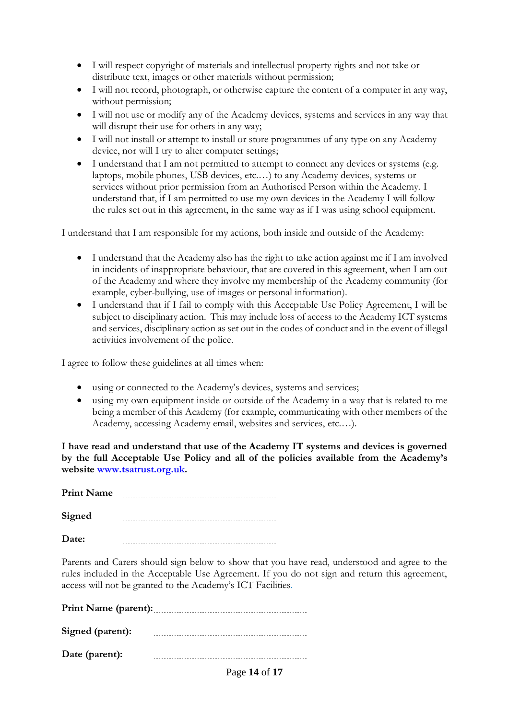- I will respect copyright of materials and intellectual property rights and not take or distribute text, images or other materials without permission;
- I will not record, photograph, or otherwise capture the content of a computer in any way, without permission;
- I will not use or modify any of the Academy devices, systems and services in any way that will disrupt their use for others in any way;
- I will not install or attempt to install or store programmes of any type on any Academy device, nor will I try to alter computer settings;
- I understand that I am not permitted to attempt to connect any devices or systems (e.g. laptops, mobile phones, USB devices, etc.…) to any Academy devices, systems or services without prior permission from an Authorised Person within the Academy. I understand that, if I am permitted to use my own devices in the Academy I will follow the rules set out in this agreement, in the same way as if I was using school equipment.

I understand that I am responsible for my actions, both inside and outside of the Academy:

- I understand that the Academy also has the right to take action against me if I am involved in incidents of inappropriate behaviour, that are covered in this agreement, when I am out of the Academy and where they involve my membership of the Academy community (for example, cyber-bullying, use of images or personal information).
- I understand that if I fail to comply with this Acceptable Use Policy Agreement, I will be subject to disciplinary action. This may include loss of access to the Academy ICT systems and services, disciplinary action as set out in the codes of conduct and in the event of illegal activities involvement of the police.

I agree to follow these guidelines at all times when:

- using or connected to the Academy's devices, systems and services;
- using my own equipment inside or outside of the Academy in a way that is related to me being a member of this Academy (for example, communicating with other members of the Academy, accessing Academy email, websites and services, etc.…).

**I have read and understand that use of the Academy IT systems and devices is governed by the full Acceptable Use Policy and all of the policies available from the Academy's website [www.tsatrust.org.uk.](http://www.tsatrust.org.uk/)**

**Print Name**

**Signed**  

**Date:**

Parents and Carers should sign below to show that you have read, understood and agree to the rules included in the Acceptable Use Agreement. If you do not sign and return this agreement, access will not be granted to the Academy's ICT Facilities.

**Print Name (parent):**

**Signed (parent):** 

**Date (parent):**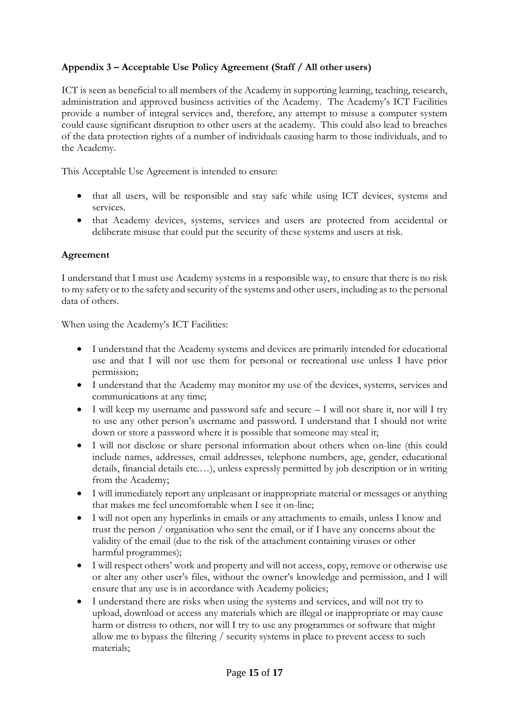# **Appendix 3 – Acceptable Use Policy Agreement (Staff / All other users)**

ICT is seen as beneficial to all members of the Academy in supporting learning, teaching, research, administration and approved business activities of the Academy. The Academy's ICT Facilities provide a number of integral services and, therefore, any attempt to misuse a computer system could cause significant disruption to other users at the academy. This could also lead to breaches of the data protection rights of a number of individuals causing harm to those individuals, and to the Academy.

This Acceptable Use Agreement is intended to ensure:

- that all users, will be responsible and stay safe while using ICT devices, systems and services.
- that Academy devices, systems, services and users are protected from accidental or deliberate misuse that could put the security of these systems and users at risk.

## **Agreement**

I understand that I must use Academy systems in a responsible way, to ensure that there is no risk to my safety or to the safety and security of the systems and other users, including as to the personal data of others.

When using the Academy's ICT Facilities:

- I understand that the Academy systems and devices are primarily intended for educational use and that I will not use them for personal or recreational use unless I have prior permission;
- I understand that the Academy may monitor my use of the devices, systems, services and communications at any time;
- I will keep my username and password safe and secure I will not share it, nor will I try to use any other person's username and password. I understand that I should not write down or store a password where it is possible that someone may steal it;
- I will not disclose or share personal information about others when on-line (this could include names, addresses, email addresses, telephone numbers, age, gender, educational details, financial details etc.…), unless expressly permitted by job description or in writing from the Academy;
- I will immediately report any unpleasant or inappropriate material or messages or anything that makes me feel uncomfortable when I see it on-line;
- I will not open any hyperlinks in emails or any attachments to emails, unless I know and trust the person / organisation who sent the email, or if I have any concerns about the validity of the email (due to the risk of the attachment containing viruses or other harmful programmes);
- I will respect others' work and property and will not access, copy, remove or otherwise use or alter any other user's files, without the owner's knowledge and permission, and I will ensure that any use is in accordance with Academy policies;
- I understand there are risks when using the systems and services, and will not try to upload, download or access any materials which are illegal or inappropriate or may cause harm or distress to others, nor will I try to use any programmes or software that might allow me to bypass the filtering / security systems in place to prevent access to such materials;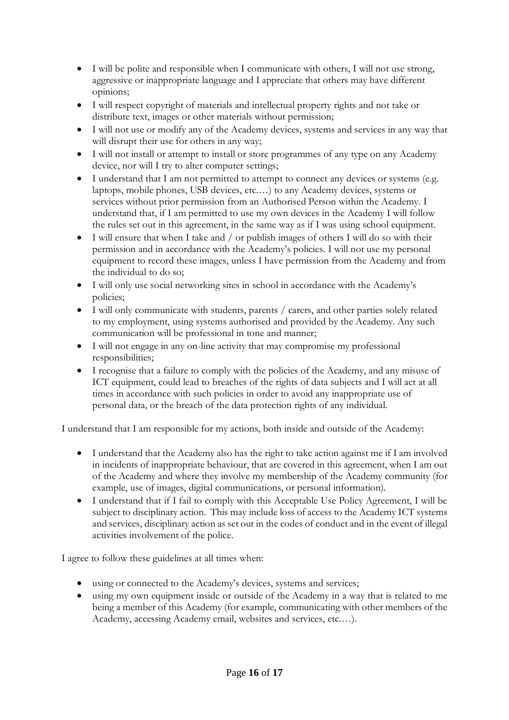- I will be polite and responsible when I communicate with others, I will not use strong, aggressive or inappropriate language and I appreciate that others may have different opinions;
- I will respect copyright of materials and intellectual property rights and not take or distribute text, images or other materials without permission;
- I will not use or modify any of the Academy devices, systems and services in any way that will disrupt their use for others in any way;
- I will not install or attempt to install or store programmes of any type on any Academy device, nor will I try to alter computer settings;
- I understand that I am not permitted to attempt to connect any devices or systems (e.g. laptops, mobile phones, USB devices, etc.…) to any Academy devices, systems or services without prior permission from an Authorised Person within the Academy. I understand that, if I am permitted to use my own devices in the Academy I will follow the rules set out in this agreement, in the same way as if I was using school equipment.
- I will ensure that when I take and / or publish images of others I will do so with their permission and in accordance with the Academy's policies. I will not use my personal equipment to record these images, unless I have permission from the Academy and from the individual to do so;
- I will only use social networking sites in school in accordance with the Academy's policies;
- I will only communicate with students, parents / carers, and other parties solely related to my employment, using systems authorised and provided by the Academy. Any such communication will be professional in tone and manner;
- I will not engage in any on-line activity that may compromise my professional responsibilities;
- I recognise that a failure to comply with the policies of the Academy, and any misuse of ICT equipment, could lead to breaches of the rights of data subjects and I will act at all times in accordance with such policies in order to avoid any inappropriate use of personal data, or the breach of the data protection rights of any individual.

I understand that I am responsible for my actions, both inside and outside of the Academy:

- I understand that the Academy also has the right to take action against me if I am involved in incidents of inappropriate behaviour, that are covered in this agreement, when I am out of the Academy and where they involve my membership of the Academy community (for example, use of images, digital communications, or personal information).
- I understand that if I fail to comply with this Acceptable Use Policy Agreement, I will be subject to disciplinary action. This may include loss of access to the Academy ICT systems and services, disciplinary action as set out in the codes of conduct and in the event of illegal activities involvement of the police.

I agree to follow these guidelines at all times when:

- using or connected to the Academy's devices, systems and services;
- using my own equipment inside or outside of the Academy in a way that is related to me being a member of this Academy (for example, communicating with other members of the Academy, accessing Academy email, websites and services, etc.…).